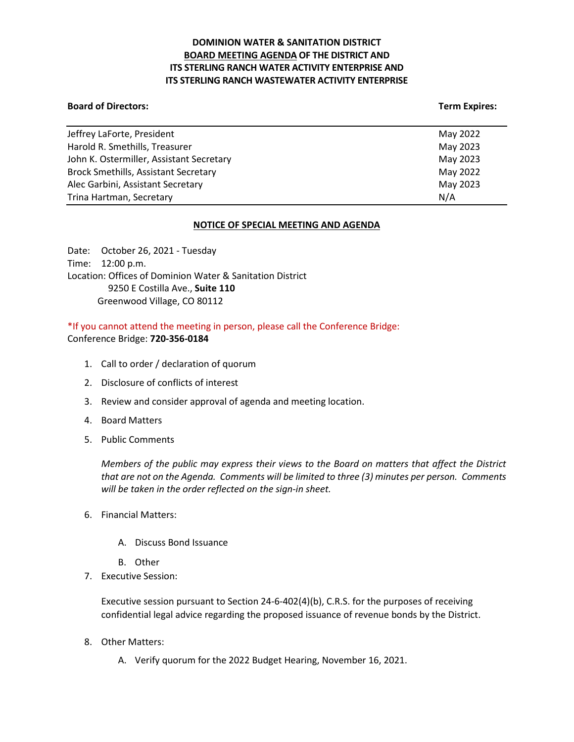# **DOMINION WATER & SANITATION DISTRICT BOARD MEETING AGENDA OF THE DISTRICT AND ITS STERLING RANCH WATER ACTIVITY ENTERPRISE AND ITS STERLING RANCH WASTEWATER ACTIVITY ENTERPRISE**

### **Board of Directors: Term Expires:**

| Jeffrey LaForte, President                  | May 2022 |
|---------------------------------------------|----------|
| Harold R. Smethills, Treasurer              | May 2023 |
| John K. Ostermiller, Assistant Secretary    | May 2023 |
| <b>Brock Smethills, Assistant Secretary</b> | May 2022 |
| Alec Garbini, Assistant Secretary           | May 2023 |
| Trina Hartman, Secretary                    | N/A      |

### **NOTICE OF SPECIAL MEETING AND AGENDA**

Date: October 26, 2021 - Tuesday Time: 12:00 p.m. Location: Offices of Dominion Water & Sanitation District 9250 E Costilla Ave., **Suite 110** Greenwood Village, CO 80112

\*If you cannot attend the meeting in person, please call the Conference Bridge: Conference Bridge: **720-356-0184**

- 1. Call to order / declaration of quorum
- 2. Disclosure of conflicts of interest
- 3. Review and consider approval of agenda and meeting location.
- 4. Board Matters
- 5. Public Comments

*Members of the public may express their views to the Board on matters that affect the District that are not on the Agenda. Comments will be limited to three (3) minutes per person. Comments will be taken in the order reflected on the sign-in sheet.*

- 6. Financial Matters:
	- A. Discuss Bond Issuance
	- B. Other
- 7. Executive Session:

Executive session pursuant to Section 24-6-402(4)(b), C.R.S. for the purposes of receiving confidential legal advice regarding the proposed issuance of revenue bonds by the District.

- 8. Other Matters:
	- A. Verify quorum for the 2022 Budget Hearing, November 16, 2021.